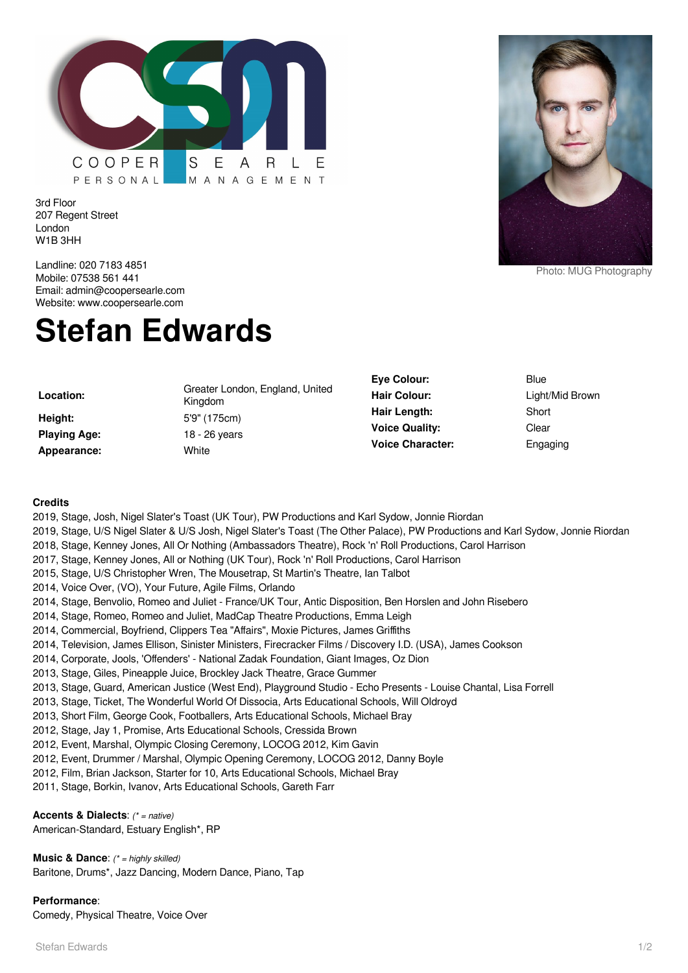

3rd Floor 207 Regent Street London W1B 3HH

Landline: 020 7183 4851 Mobile: 07538 561 441 Email: admin@coopersearle.com Website: www.coopersearle.com

# **Stefan Edwards**

**Height:** 5'9" (175cm) **Playing Age:** 18 - 26 years **Appearance:** White

**Location:** Greater London, England, United Kingdom



Photo: MUG Photography

**Eye Colour:** Blue **Hair Colour:** Light/Mid Brown **Hair Length:** Short **Voice Quality:** Clear **Voice Character:** Engaging

#### **Credits**

- 2019, Stage, Josh, Nigel Slater's Toast (UK Tour), PW Productions and Karl Sydow, Jonnie Riordan
- 2019, Stage, U/S Nigel Slater & U/S Josh, Nigel Slater's Toast (The Other Palace), PW Productions and Karl Sydow, Jonnie Riordan
- 2018, Stage, Kenney Jones, All Or Nothing (Ambassadors Theatre), Rock 'n' Roll Productions, Carol Harrison
- 2017, Stage, Kenney Jones, All or Nothing (UK Tour), Rock 'n' Roll Productions, Carol Harrison
- 2015, Stage, U/S Christopher Wren, The Mousetrap, St Martin's Theatre, Ian Talbot
- 2014, Voice Over, (VO), Your Future, Agile Films, Orlando
- 2014, Stage, Benvolio, Romeo and Juliet France/UK Tour, Antic Disposition, Ben Horslen and John Risebero
- 2014, Stage, Romeo, Romeo and Juliet, MadCap Theatre Productions, Emma Leigh
- 2014, Commercial, Boyfriend, Clippers Tea "Affairs", Moxie Pictures, James Griffiths
- 2014, Television, James Ellison, Sinister Ministers, Firecracker Films / Discovery I.D. (USA), James Cookson
- 2014, Corporate, Jools, 'Offenders' National Zadak Foundation, Giant Images, Oz Dion
- 2013, Stage, Giles, Pineapple Juice, Brockley Jack Theatre, Grace Gummer
- 2013, Stage, Guard, American Justice (West End), Playground Studio Echo Presents Louise Chantal, Lisa Forrell
- 2013, Stage, Ticket, The Wonderful World Of Dissocia, Arts Educational Schools, Will Oldroyd
- 2013, Short Film, George Cook, Footballers, Arts Educational Schools, Michael Bray
- 2012, Stage, Jay 1, Promise, Arts Educational Schools, Cressida Brown
- 2012, Event, Marshal, Olympic Closing Ceremony, LOCOG 2012, Kim Gavin
- 2012, Event, Drummer / Marshal, Olympic Opening Ceremony, LOCOG 2012, Danny Boyle
- 2012, Film, Brian Jackson, Starter for 10, Arts Educational Schools, Michael Bray
- 2011, Stage, Borkin, Ivanov, Arts Educational Schools, Gareth Farr

**Accents & Dialects**: (\* = native)

American-Standard, Estuary English\*, RP

**Music & Dance:** (\* = highly skilled) Baritone, Drums\*, Jazz Dancing, Modern Dance, Piano, Tap

### **Performance**:

Comedy, Physical Theatre, Voice Over